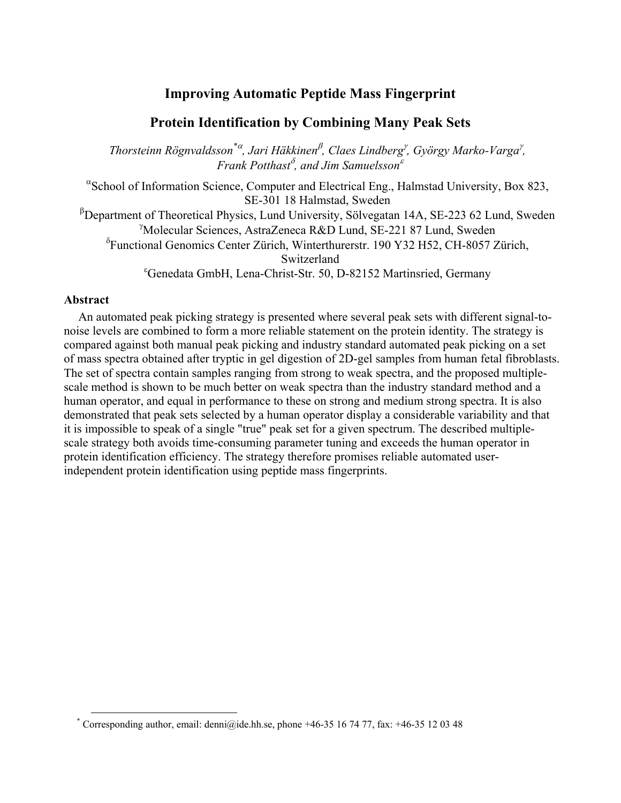# **Improving Automatic Peptide Mass Fingerprint**

# **Protein Identification by Combining Many Peak Sets**

*Thorsteinn Rögnvaldsson<sup>\*α</sup>, Jari Häkkinen<sup>β</sup>, Claes Lindberg<sup>γ</sup>, György Marko-Varga<sup>γ</sup>, Frank Potthast*<sup>δ</sup>, and *Jim Samuelsson*<sup>ε</sup>

α School of Information Science, Computer and Electrical Eng., Halmstad University, Box 823, SE-301 18 Halmstad, Sweden β Department of Theoretical Physics, Lund University, Sölvegatan 14A, SE-223 62 Lund, Sweden γ Molecular Sciences, AstraZeneca R&D Lund, SE-221 87 Lund, Sweden δ Functional Genomics Center Zürich, Winterthurerstr. 190 Y32 H52, CH-8057 Zürich, Switzerland ε Genedata GmbH, Lena-Christ-Str. 50, D-82152 Martinsried, Germany

#### **Abstract**

An automated peak picking strategy is presented where several peak sets with different signal-tonoise levels are combined to form a more reliable statement on the protein identity. The strategy is compared against both manual peak picking and industry standard automated peak picking on a set of mass spectra obtained after tryptic in gel digestion of 2D-gel samples from human fetal fibroblasts. The set of spectra contain samples ranging from strong to weak spectra, and the proposed multiplescale method is shown to be much better on weak spectra than the industry standard method and a human operator, and equal in performance to these on strong and medium strong spectra. It is also demonstrated that peak sets selected by a human operator display a considerable variability and that it is impossible to speak of a single "true" peak set for a given spectrum. The described multiplescale strategy both avoids time-consuming parameter tuning and exceeds the human operator in protein identification efficiency. The strategy therefore promises reliable automated userindependent protein identification using peptide mass fingerprints.

<sup>\*&</sup>lt;br>
\* Corresponding author, email: denni@ide.hh.se, phone +46-35 16 74 77, fax: +46-35 12 03 48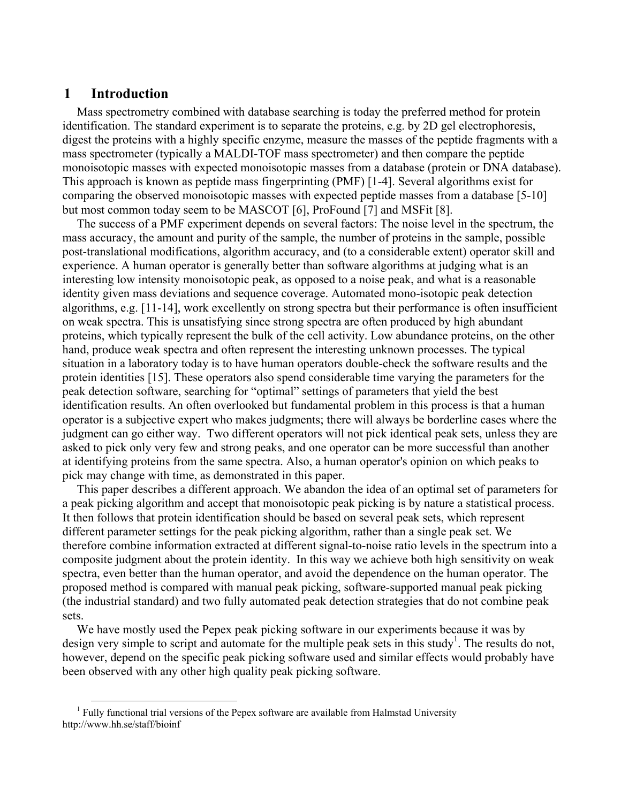#### **1 Introduction**

Mass spectrometry combined with database searching is today the preferred method for protein identification. The standard experiment is to separate the proteins, e.g. by 2D gel electrophoresis, digest the proteins with a highly specific enzyme, measure the masses of the peptide fragments with a mass spectrometer (typically a MALDI-TOF mass spectrometer) and then compare the peptide monoisotopic masses with expected monoisotopic masses from a database (protein or DNA database). This approach is known as peptide mass fingerprinting (PMF) [1-4]. Several algorithms exist for comparing the observed monoisotopic masses with expected peptide masses from a database [5-10] but most common today seem to be MASCOT [6], ProFound [7] and MSFit [8].

The success of a PMF experiment depends on several factors: The noise level in the spectrum, the mass accuracy, the amount and purity of the sample, the number of proteins in the sample, possible post-translational modifications, algorithm accuracy, and (to a considerable extent) operator skill and experience. A human operator is generally better than software algorithms at judging what is an interesting low intensity monoisotopic peak, as opposed to a noise peak, and what is a reasonable identity given mass deviations and sequence coverage. Automated mono-isotopic peak detection algorithms, e.g. [11-14], work excellently on strong spectra but their performance is often insufficient on weak spectra. This is unsatisfying since strong spectra are often produced by high abundant proteins, which typically represent the bulk of the cell activity. Low abundance proteins, on the other hand, produce weak spectra and often represent the interesting unknown processes. The typical situation in a laboratory today is to have human operators double-check the software results and the protein identities [15]. These operators also spend considerable time varying the parameters for the peak detection software, searching for "optimal" settings of parameters that yield the best identification results. An often overlooked but fundamental problem in this process is that a human operator is a subjective expert who makes judgments; there will always be borderline cases where the judgment can go either way. Two different operators will not pick identical peak sets, unless they are asked to pick only very few and strong peaks, and one operator can be more successful than another at identifying proteins from the same spectra. Also, a human operator's opinion on which peaks to pick may change with time, as demonstrated in this paper.

This paper describes a different approach. We abandon the idea of an optimal set of parameters for a peak picking algorithm and accept that monoisotopic peak picking is by nature a statistical process. It then follows that protein identification should be based on several peak sets, which represent different parameter settings for the peak picking algorithm, rather than a single peak set. We therefore combine information extracted at different signal-to-noise ratio levels in the spectrum into a composite judgment about the protein identity. In this way we achieve both high sensitivity on weak spectra, even better than the human operator, and avoid the dependence on the human operator. The proposed method is compared with manual peak picking, software-supported manual peak picking (the industrial standard) and two fully automated peak detection strategies that do not combine peak sets.

We have mostly used the Pepex peak picking software in our experiments because it was by design very simple to script and automate for the multiple peak sets in this study<sup>1</sup>. The results do not, however, depend on the specific peak picking software used and similar effects would probably have been observed with any other high quality peak picking software.

<sup>&</sup>lt;sup>1</sup> Fully functional trial versions of the Pepex software are available from Halmstad University http://www.hh.se/staff/bioinf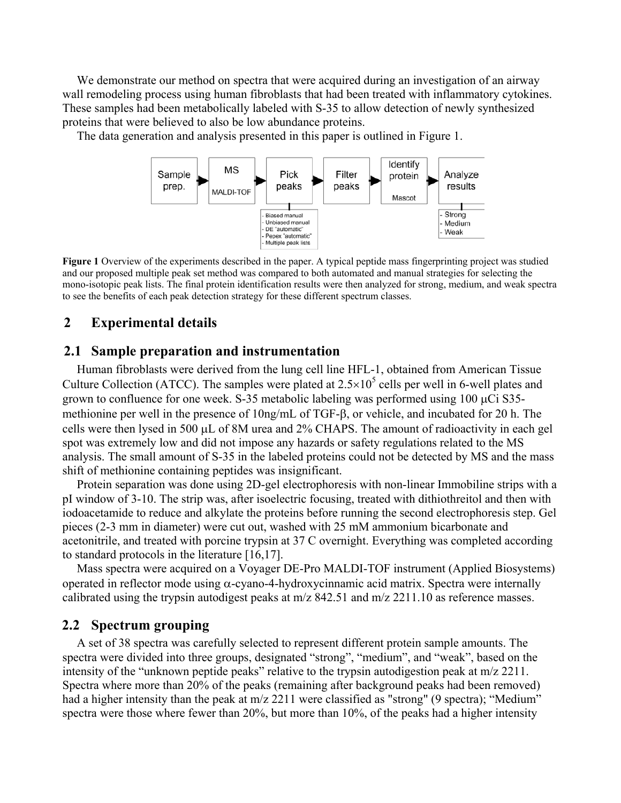We demonstrate our method on spectra that were acquired during an investigation of an airway wall remodeling process using human fibroblasts that had been treated with inflammatory cytokines. These samples had been metabolically labeled with S-35 to allow detection of newly synthesized proteins that were believed to also be low abundance proteins.

The data generation and analysis presented in this paper is outlined in Figure 1.



**Figure 1** Overview of the experiments described in the paper. A typical peptide mass fingerprinting project was studied and our proposed multiple peak set method was compared to both automated and manual strategies for selecting the mono-isotopic peak lists. The final protein identification results were then analyzed for strong, medium, and weak spectra to see the benefits of each peak detection strategy for these different spectrum classes.

### **2 Experimental details**

#### **2.1 Sample preparation and instrumentation**

Human fibroblasts were derived from the lung cell line HFL-1, obtained from American Tissue Culture Collection (ATCC). The samples were plated at  $2.5 \times 10^5$  cells per well in 6-well plates and grown to confluence for one week. S-35 metabolic labeling was performed using 100 µCi S35 methionine per well in the presence of 10ng/mL of TGF-β, or vehicle, and incubated for 20 h. The cells were then lysed in 500 µL of 8M urea and 2% CHAPS. The amount of radioactivity in each gel spot was extremely low and did not impose any hazards or safety regulations related to the MS analysis. The small amount of S-35 in the labeled proteins could not be detected by MS and the mass shift of methionine containing peptides was insignificant.

Protein separation was done using 2D-gel electrophoresis with non-linear Immobiline strips with a pI window of 3-10. The strip was, after isoelectric focusing, treated with dithiothreitol and then with iodoacetamide to reduce and alkylate the proteins before running the second electrophoresis step. Gel pieces (2-3 mm in diameter) were cut out, washed with 25 mM ammonium bicarbonate and acetonitrile, and treated with porcine trypsin at 37 C overnight. Everything was completed according to standard protocols in the literature [16,17].

Mass spectra were acquired on a Voyager DE-Pro MALDI-TOF instrument (Applied Biosystems) operated in reflector mode using α-cyano-4-hydroxycinnamic acid matrix. Spectra were internally calibrated using the trypsin autodigest peaks at m/z 842.51 and m/z 2211.10 as reference masses.

#### **2.2 Spectrum grouping**

A set of 38 spectra was carefully selected to represent different protein sample amounts. The spectra were divided into three groups, designated "strong", "medium", and "weak", based on the intensity of the "unknown peptide peaks" relative to the trypsin autodigestion peak at m/z 2211. Spectra where more than 20% of the peaks (remaining after background peaks had been removed) had a higher intensity than the peak at m/z 2211 were classified as "strong" (9 spectra); "Medium" spectra were those where fewer than 20%, but more than 10%, of the peaks had a higher intensity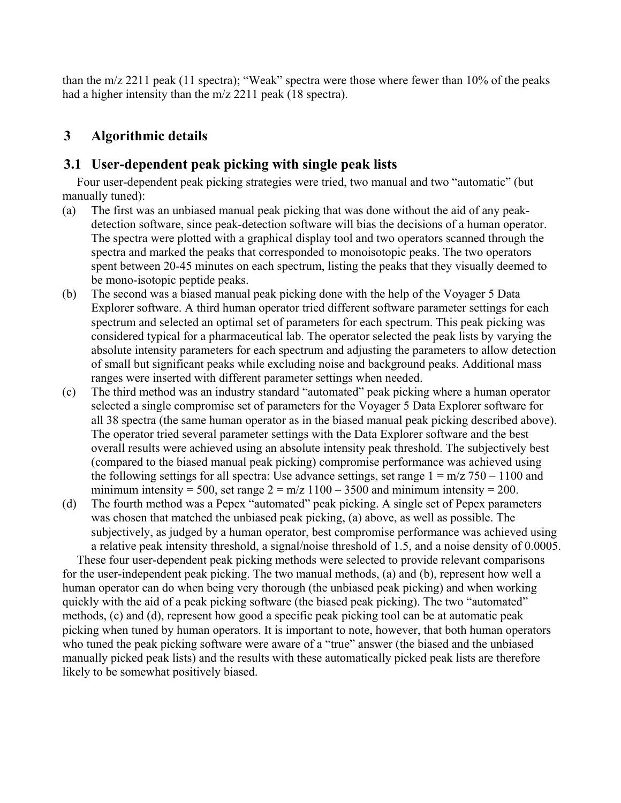than the m/z 2211 peak (11 spectra); "Weak" spectra were those where fewer than 10% of the peaks had a higher intensity than the m/z 2211 peak (18 spectra).

# **3 Algorithmic details**

# **3.1 User-dependent peak picking with single peak lists**

Four user-dependent peak picking strategies were tried, two manual and two "automatic" (but manually tuned):

- (a) The first was an unbiased manual peak picking that was done without the aid of any peakdetection software, since peak-detection software will bias the decisions of a human operator. The spectra were plotted with a graphical display tool and two operators scanned through the spectra and marked the peaks that corresponded to monoisotopic peaks. The two operators spent between 20-45 minutes on each spectrum, listing the peaks that they visually deemed to be mono-isotopic peptide peaks.
- (b) The second was a biased manual peak picking done with the help of the Voyager 5 Data Explorer software. A third human operator tried different software parameter settings for each spectrum and selected an optimal set of parameters for each spectrum. This peak picking was considered typical for a pharmaceutical lab. The operator selected the peak lists by varying the absolute intensity parameters for each spectrum and adjusting the parameters to allow detection of small but significant peaks while excluding noise and background peaks. Additional mass ranges were inserted with different parameter settings when needed.
- (c) The third method was an industry standard "automated" peak picking where a human operator selected a single compromise set of parameters for the Voyager 5 Data Explorer software for all 38 spectra (the same human operator as in the biased manual peak picking described above). The operator tried several parameter settings with the Data Explorer software and the best overall results were achieved using an absolute intensity peak threshold. The subjectively best (compared to the biased manual peak picking) compromise performance was achieved using the following settings for all spectra: Use advance settings, set range  $1 = m/z$  750 – 1100 and minimum intensity = 500, set range  $2 = m/z 1100 - 3500$  and minimum intensity = 200.
- (d) The fourth method was a Pepex "automated" peak picking. A single set of Pepex parameters was chosen that matched the unbiased peak picking, (a) above, as well as possible. The subjectively, as judged by a human operator, best compromise performance was achieved using a relative peak intensity threshold, a signal/noise threshold of 1.5, and a noise density of 0.0005.

These four user-dependent peak picking methods were selected to provide relevant comparisons for the user-independent peak picking. The two manual methods, (a) and (b), represent how well a human operator can do when being very thorough (the unbiased peak picking) and when working quickly with the aid of a peak picking software (the biased peak picking). The two "automated" methods, (c) and (d), represent how good a specific peak picking tool can be at automatic peak picking when tuned by human operators. It is important to note, however, that both human operators who tuned the peak picking software were aware of a "true" answer (the biased and the unbiased manually picked peak lists) and the results with these automatically picked peak lists are therefore likely to be somewhat positively biased.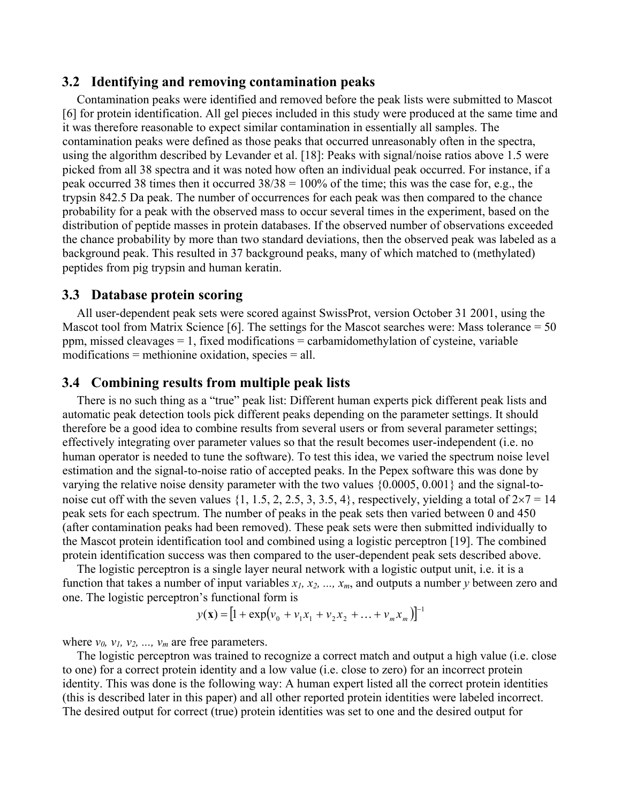#### **3.2 Identifying and removing contamination peaks**

Contamination peaks were identified and removed before the peak lists were submitted to Mascot [6] for protein identification. All gel pieces included in this study were produced at the same time and it was therefore reasonable to expect similar contamination in essentially all samples. The contamination peaks were defined as those peaks that occurred unreasonably often in the spectra, using the algorithm described by Levander et al. [18]: Peaks with signal/noise ratios above 1.5 were picked from all 38 spectra and it was noted how often an individual peak occurred. For instance, if a peak occurred 38 times then it occurred  $38/38 = 100\%$  of the time; this was the case for, e.g., the trypsin 842.5 Da peak. The number of occurrences for each peak was then compared to the chance probability for a peak with the observed mass to occur several times in the experiment, based on the distribution of peptide masses in protein databases. If the observed number of observations exceeded the chance probability by more than two standard deviations, then the observed peak was labeled as a background peak. This resulted in 37 background peaks, many of which matched to (methylated) peptides from pig trypsin and human keratin.

#### **3.3 Database protein scoring**

All user-dependent peak sets were scored against SwissProt, version October 31 2001, using the Mascot tool from Matrix Science [6]. The settings for the Mascot searches were: Mass tolerance  $= 50$ ppm, missed cleavages  $= 1$ , fixed modifications  $=$  carbamidomethylation of cysteine, variable  $modifications = methionine oxidation, species = all.$ 

#### **3.4 Combining results from multiple peak lists**

There is no such thing as a "true" peak list: Different human experts pick different peak lists and automatic peak detection tools pick different peaks depending on the parameter settings. It should therefore be a good idea to combine results from several users or from several parameter settings; effectively integrating over parameter values so that the result becomes user-independent (i.e. no human operator is needed to tune the software). To test this idea, we varied the spectrum noise level estimation and the signal-to-noise ratio of accepted peaks. In the Pepex software this was done by varying the relative noise density parameter with the two values {0.0005, 0.001} and the signal-tonoise cut off with the seven values  $\{1, 1.5, 2, 2.5, 3, 3.5, 4\}$ , respectively, yielding a total of  $2\times7 = 14$ peak sets for each spectrum. The number of peaks in the peak sets then varied between 0 and 450 (after contamination peaks had been removed). These peak sets were then submitted individually to the Mascot protein identification tool and combined using a logistic perceptron [19]. The combined protein identification success was then compared to the user-dependent peak sets described above.

The logistic perceptron is a single layer neural network with a logistic output unit, i.e. it is a function that takes a number of input variables  $x_1, x_2, ..., x_m$ , and outputs a number *y* between zero and one. The logistic perceptron's functional form is

$$
y(\mathbf{x}) = [1 + \exp(v_0 + v_1x_1 + v_2x_2 + \dots + v_mx_m)]^{-1}
$$

where  $v_0$ ,  $v_1$ ,  $v_2$ , ...,  $v_m$  are free parameters.

The logistic perceptron was trained to recognize a correct match and output a high value (i.e. close to one) for a correct protein identity and a low value (i.e. close to zero) for an incorrect protein identity. This was done is the following way: A human expert listed all the correct protein identities (this is described later in this paper) and all other reported protein identities were labeled incorrect. The desired output for correct (true) protein identities was set to one and the desired output for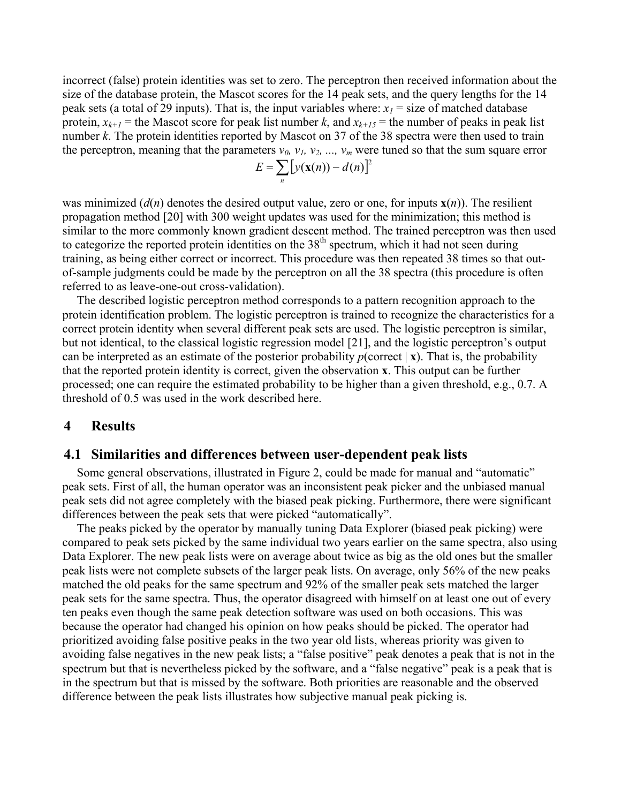incorrect (false) protein identities was set to zero. The perceptron then received information about the size of the database protein, the Mascot scores for the 14 peak sets, and the query lengths for the 14 peak sets (a total of 29 inputs). That is, the input variables where:  $x_1$  = size of matched database protein,  $x_{k+1}$  = the Mascot score for peak list number *k*, and  $x_{k+1}$ <sup> $=$ </sup> the number of peaks in peak list number *k*. The protein identities reported by Mascot on 37 of the 38 spectra were then used to train the perceptron, meaning that the parameters  $v_0$ ,  $v_1$ ,  $v_2$ , ...,  $v_m$  were tuned so that the sum square error

$$
E = \sum_{n} \left[ y(\mathbf{x}(n)) - d(n) \right]^2
$$

was minimized  $(d(n))$  denotes the desired output value, zero or one, for inputs  $\mathbf{x}(n)$ ). The resilient propagation method [20] with 300 weight updates was used for the minimization; this method is similar to the more commonly known gradient descent method. The trained perceptron was then used to categorize the reported protein identities on the  $38<sup>th</sup>$  spectrum, which it had not seen during training, as being either correct or incorrect. This procedure was then repeated 38 times so that outof-sample judgments could be made by the perceptron on all the 38 spectra (this procedure is often referred to as leave-one-out cross-validation).

The described logistic perceptron method corresponds to a pattern recognition approach to the protein identification problem. The logistic perceptron is trained to recognize the characteristics for a correct protein identity when several different peak sets are used. The logistic perceptron is similar, but not identical, to the classical logistic regression model [21], and the logistic perceptron's output can be interpreted as an estimate of the posterior probability  $p$ (correct | **x**). That is, the probability that the reported protein identity is correct, given the observation **x**. This output can be further processed; one can require the estimated probability to be higher than a given threshold, e.g., 0.7. A threshold of 0.5 was used in the work described here.

#### **4 Results**

#### **4.1 Similarities and differences between user-dependent peak lists**

Some general observations, illustrated in Figure 2, could be made for manual and "automatic" peak sets. First of all, the human operator was an inconsistent peak picker and the unbiased manual peak sets did not agree completely with the biased peak picking. Furthermore, there were significant differences between the peak sets that were picked "automatically".

The peaks picked by the operator by manually tuning Data Explorer (biased peak picking) were compared to peak sets picked by the same individual two years earlier on the same spectra, also using Data Explorer. The new peak lists were on average about twice as big as the old ones but the smaller peak lists were not complete subsets of the larger peak lists. On average, only 56% of the new peaks matched the old peaks for the same spectrum and 92% of the smaller peak sets matched the larger peak sets for the same spectra. Thus, the operator disagreed with himself on at least one out of every ten peaks even though the same peak detection software was used on both occasions. This was because the operator had changed his opinion on how peaks should be picked. The operator had prioritized avoiding false positive peaks in the two year old lists, whereas priority was given to avoiding false negatives in the new peak lists; a "false positive" peak denotes a peak that is not in the spectrum but that is nevertheless picked by the software, and a "false negative" peak is a peak that is in the spectrum but that is missed by the software. Both priorities are reasonable and the observed difference between the peak lists illustrates how subjective manual peak picking is.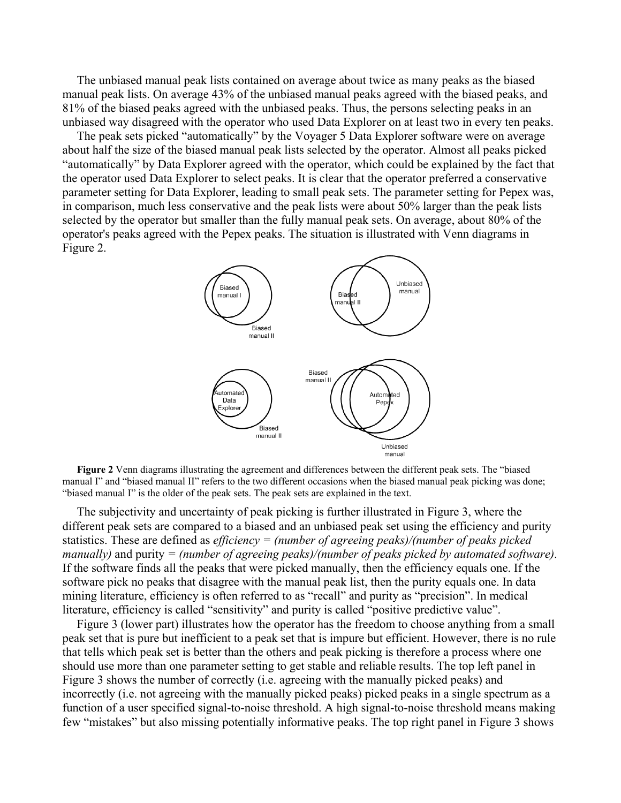The unbiased manual peak lists contained on average about twice as many peaks as the biased manual peak lists. On average 43% of the unbiased manual peaks agreed with the biased peaks, and 81% of the biased peaks agreed with the unbiased peaks. Thus, the persons selecting peaks in an unbiased way disagreed with the operator who used Data Explorer on at least two in every ten peaks.

The peak sets picked "automatically" by the Voyager 5 Data Explorer software were on average about half the size of the biased manual peak lists selected by the operator. Almost all peaks picked "automatically" by Data Explorer agreed with the operator, which could be explained by the fact that the operator used Data Explorer to select peaks. It is clear that the operator preferred a conservative parameter setting for Data Explorer, leading to small peak sets. The parameter setting for Pepex was, in comparison, much less conservative and the peak lists were about 50% larger than the peak lists selected by the operator but smaller than the fully manual peak sets. On average, about 80% of the operator's peaks agreed with the Pepex peaks. The situation is illustrated with Venn diagrams in Figure 2.



**Figure 2** Venn diagrams illustrating the agreement and differences between the different peak sets. The "biased" manual I" and "biased manual II" refers to the two different occasions when the biased manual peak picking was done; "biased manual I" is the older of the peak sets. The peak sets are explained in the text.

The subjectivity and uncertainty of peak picking is further illustrated in Figure 3, where the different peak sets are compared to a biased and an unbiased peak set using the efficiency and purity statistics. These are defined as *efficiency = (number of agreeing peaks)/(number of peaks picked manually)* and purity *= (number of agreeing peaks)/(number of peaks picked by automated software)*. If the software finds all the peaks that were picked manually, then the efficiency equals one. If the software pick no peaks that disagree with the manual peak list, then the purity equals one. In data mining literature, efficiency is often referred to as "recall" and purity as "precision". In medical literature, efficiency is called "sensitivity" and purity is called "positive predictive value".

Figure 3 (lower part) illustrates how the operator has the freedom to choose anything from a small peak set that is pure but inefficient to a peak set that is impure but efficient. However, there is no rule that tells which peak set is better than the others and peak picking is therefore a process where one should use more than one parameter setting to get stable and reliable results. The top left panel in Figure 3 shows the number of correctly (i.e. agreeing with the manually picked peaks) and incorrectly (i.e. not agreeing with the manually picked peaks) picked peaks in a single spectrum as a function of a user specified signal-to-noise threshold. A high signal-to-noise threshold means making few "mistakes" but also missing potentially informative peaks. The top right panel in Figure 3 shows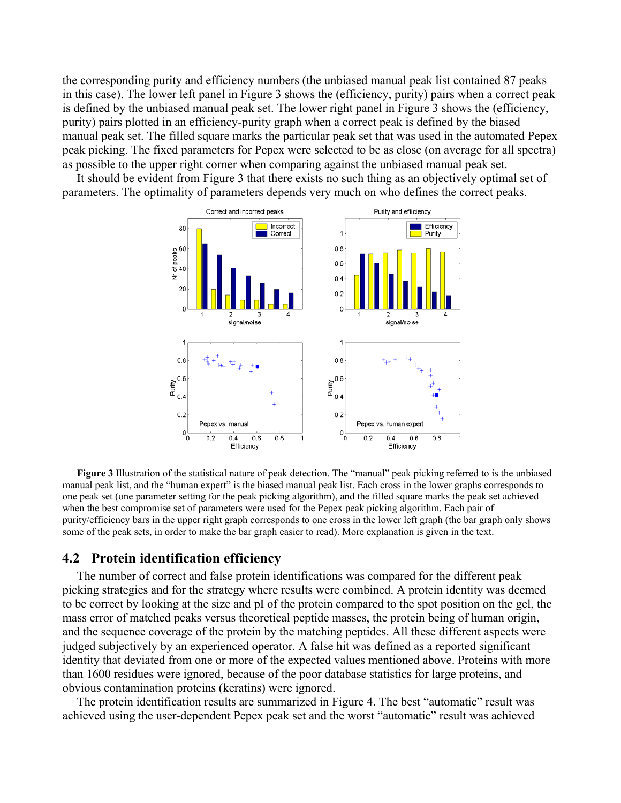the corresponding purity and efficiency numbers (the unbiased manual peak list contained 87 peaks in this case). The lower left panel in Figure 3 shows the (efficiency, purity) pairs when a correct peak is defined by the unbiased manual peak set. The lower right panel in Figure 3 shows the (efficiency, purity) pairs plotted in an efficiency-purity graph when a correct peak is defined by the biased manual peak set. The filled square marks the particular peak set that was used in the automated Pepex peak picking. The fixed parameters for Pepex were selected to be as close (on average for all spectra) as possible to the upper right corner when comparing against the unbiased manual peak set.

It should be evident from Figure 3 that there exists no such thing as an objectively optimal set of parameters. The optimality of parameters depends very much on who defines the correct peaks.



**Figure 3** Illustration of the statistical nature of peak detection. The "manual" peak picking referred to is the unbiased manual peak list, and the "human expert" is the biased manual peak list. Each cross in the lower graphs corresponds to one peak set (one parameter setting for the peak picking algorithm), and the filled square marks the peak set achieved when the best compromise set of parameters were used for the Pepex peak picking algorithm. Each pair of purity/efficiency bars in the upper right graph corresponds to one cross in the lower left graph (the bar graph only shows some of the peak sets, in order to make the bar graph easier to read). More explanation is given in the text.

#### **4.2 Protein identification efficiency**

The number of correct and false protein identifications was compared for the different peak picking strategies and for the strategy where results were combined. A protein identity was deemed to be correct by looking at the size and pI of the protein compared to the spot position on the gel, the mass error of matched peaks versus theoretical peptide masses, the protein being of human origin, and the sequence coverage of the protein by the matching peptides. All these different aspects were judged subjectively by an experienced operator. A false hit was defined as a reported significant identity that deviated from one or more of the expected values mentioned above. Proteins with more than 1600 residues were ignored, because of the poor database statistics for large proteins, and obvious contamination proteins (keratins) were ignored.

The protein identification results are summarized in Figure 4. The best "automatic" result was achieved using the user-dependent Pepex peak set and the worst "automatic" result was achieved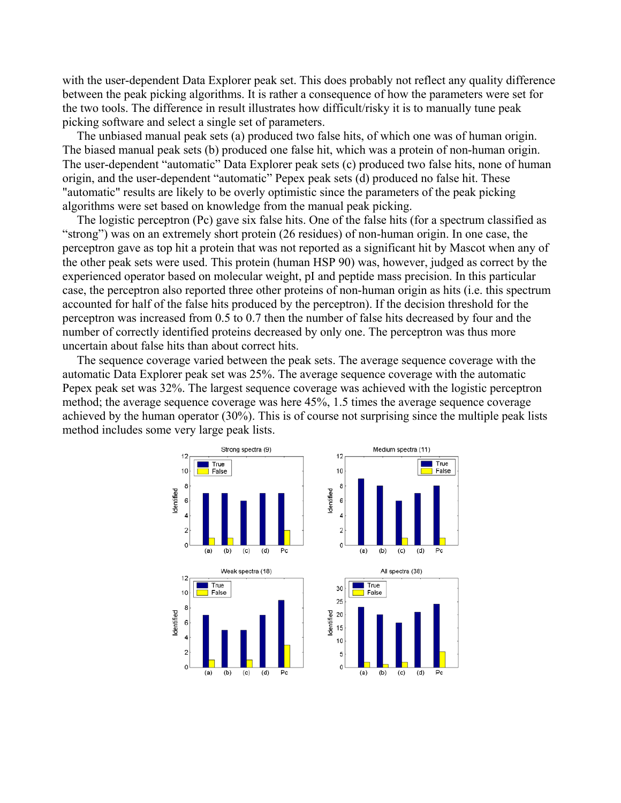with the user-dependent Data Explorer peak set. This does probably not reflect any quality difference between the peak picking algorithms. It is rather a consequence of how the parameters were set for the two tools. The difference in result illustrates how difficult/risky it is to manually tune peak picking software and select a single set of parameters.

The unbiased manual peak sets (a) produced two false hits, of which one was of human origin. The biased manual peak sets (b) produced one false hit, which was a protein of non-human origin. The user-dependent "automatic" Data Explorer peak sets (c) produced two false hits, none of human origin, and the user-dependent "automatic" Pepex peak sets (d) produced no false hit. These "automatic" results are likely to be overly optimistic since the parameters of the peak picking algorithms were set based on knowledge from the manual peak picking.

The logistic perceptron (Pc) gave six false hits. One of the false hits (for a spectrum classified as "strong") was on an extremely short protein (26 residues) of non-human origin. In one case, the perceptron gave as top hit a protein that was not reported as a significant hit by Mascot when any of the other peak sets were used. This protein (human HSP 90) was, however, judged as correct by the experienced operator based on molecular weight, pI and peptide mass precision. In this particular case, the perceptron also reported three other proteins of non-human origin as hits (i.e. this spectrum accounted for half of the false hits produced by the perceptron). If the decision threshold for the perceptron was increased from 0.5 to 0.7 then the number of false hits decreased by four and the number of correctly identified proteins decreased by only one. The perceptron was thus more uncertain about false hits than about correct hits.

The sequence coverage varied between the peak sets. The average sequence coverage with the automatic Data Explorer peak set was 25%. The average sequence coverage with the automatic Pepex peak set was 32%. The largest sequence coverage was achieved with the logistic perceptron method; the average sequence coverage was here 45%, 1.5 times the average sequence coverage achieved by the human operator (30%). This is of course not surprising since the multiple peak lists method includes some very large peak lists.

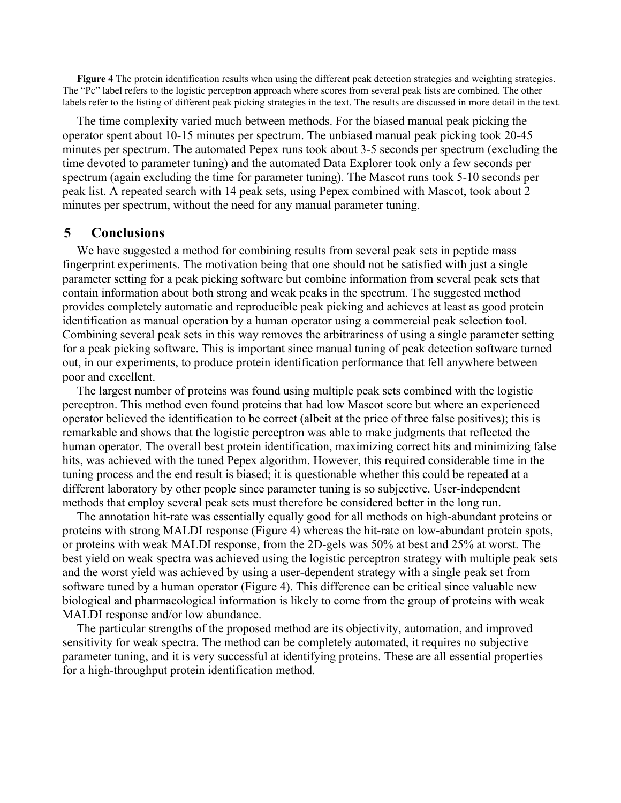**Figure 4** The protein identification results when using the different peak detection strategies and weighting strategies. The "Pc" label refers to the logistic perceptron approach where scores from several peak lists are combined. The other labels refer to the listing of different peak picking strategies in the text. The results are discussed in more detail in the text.

The time complexity varied much between methods. For the biased manual peak picking the operator spent about 10-15 minutes per spectrum. The unbiased manual peak picking took 20-45 minutes per spectrum. The automated Pepex runs took about 3-5 seconds per spectrum (excluding the time devoted to parameter tuning) and the automated Data Explorer took only a few seconds per spectrum (again excluding the time for parameter tuning). The Mascot runs took 5-10 seconds per peak list. A repeated search with 14 peak sets, using Pepex combined with Mascot, took about 2 minutes per spectrum, without the need for any manual parameter tuning.

#### **5 Conclusions**

We have suggested a method for combining results from several peak sets in peptide mass fingerprint experiments. The motivation being that one should not be satisfied with just a single parameter setting for a peak picking software but combine information from several peak sets that contain information about both strong and weak peaks in the spectrum. The suggested method provides completely automatic and reproducible peak picking and achieves at least as good protein identification as manual operation by a human operator using a commercial peak selection tool. Combining several peak sets in this way removes the arbitrariness of using a single parameter setting for a peak picking software. This is important since manual tuning of peak detection software turned out, in our experiments, to produce protein identification performance that fell anywhere between poor and excellent.

The largest number of proteins was found using multiple peak sets combined with the logistic perceptron. This method even found proteins that had low Mascot score but where an experienced operator believed the identification to be correct (albeit at the price of three false positives); this is remarkable and shows that the logistic perceptron was able to make judgments that reflected the human operator. The overall best protein identification, maximizing correct hits and minimizing false hits, was achieved with the tuned Pepex algorithm. However, this required considerable time in the tuning process and the end result is biased; it is questionable whether this could be repeated at a different laboratory by other people since parameter tuning is so subjective. User-independent methods that employ several peak sets must therefore be considered better in the long run.

The annotation hit-rate was essentially equally good for all methods on high-abundant proteins or proteins with strong MALDI response (Figure 4) whereas the hit-rate on low-abundant protein spots, or proteins with weak MALDI response, from the 2D-gels was 50% at best and 25% at worst. The best yield on weak spectra was achieved using the logistic perceptron strategy with multiple peak sets and the worst yield was achieved by using a user-dependent strategy with a single peak set from software tuned by a human operator (Figure 4). This difference can be critical since valuable new biological and pharmacological information is likely to come from the group of proteins with weak MALDI response and/or low abundance.

The particular strengths of the proposed method are its objectivity, automation, and improved sensitivity for weak spectra. The method can be completely automated, it requires no subjective parameter tuning, and it is very successful at identifying proteins. These are all essential properties for a high-throughput protein identification method.